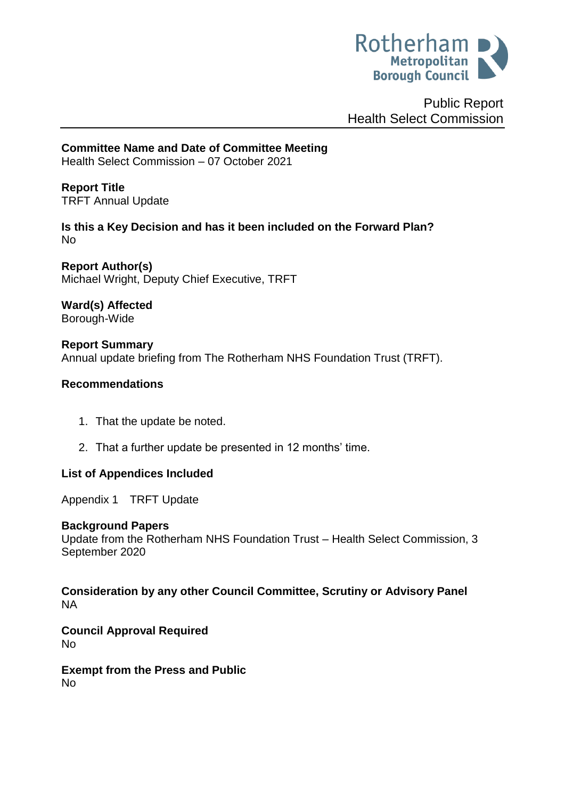

Public Report Health Select Commission

**Committee Name and Date of Committee Meeting** Health Select Commission – 07 October 2021

<span id="page-0-0"></span>**Report Title** TRFT Annual Update

**Is this a Key Decision and has it been included on the Forward Plan?**  No

**Report Author(s)** Michael Wright, Deputy Chief Executive, TRFT

**Ward(s) Affected** Borough-Wide

**Report Summary** Annual update briefing from The Rotherham NHS Foundation Trust (TRFT).

## **Recommendations**

- 1. That the update be noted.
- 2. That a further update be presented in 12 months' time.

# **List of Appendices Included**

Appendix 1 TRFT Update

#### **Background Papers**

Update from the Rotherham NHS Foundation Trust – Health Select Commission, 3 September 2020

**Consideration by any other Council Committee, Scrutiny or Advisory Panel** NA

**Council Approval Required** No

**Exempt from the Press and Public** No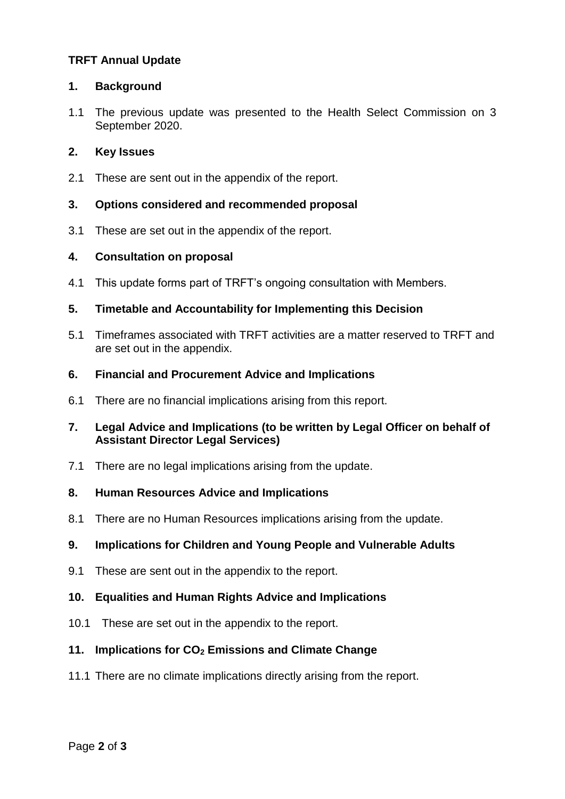# **[TRFT Annual Update](#page-0-0)**

#### **1. Background**

1.1 The previous update was presented to the Health Select Commission on 3 September 2020.

## **2. Key Issues**

2.1 These are sent out in the appendix of the report.

## **3. Options considered and recommended proposal**

3.1 These are set out in the appendix of the report.

## **4. Consultation on proposal**

4.1 This update forms part of TRFT's ongoing consultation with Members.

## **5. Timetable and Accountability for Implementing this Decision**

5.1 Timeframes associated with TRFT activities are a matter reserved to TRFT and are set out in the appendix.

#### **6. Financial and Procurement Advice and Implications**

6.1 There are no financial implications arising from this report.

## **7. Legal Advice and Implications (to be written by Legal Officer on behalf of Assistant Director Legal Services)**

7.1 There are no legal implications arising from the update.

#### **8. Human Resources Advice and Implications**

8.1 There are no Human Resources implications arising from the update.

# **9. Implications for Children and Young People and Vulnerable Adults**

9.1 These are sent out in the appendix to the report.

# **10. Equalities and Human Rights Advice and Implications**

10.1 These are set out in the appendix to the report.

# **11. Implications for CO<sup>2</sup> Emissions and Climate Change**

11.1 There are no climate implications directly arising from the report.